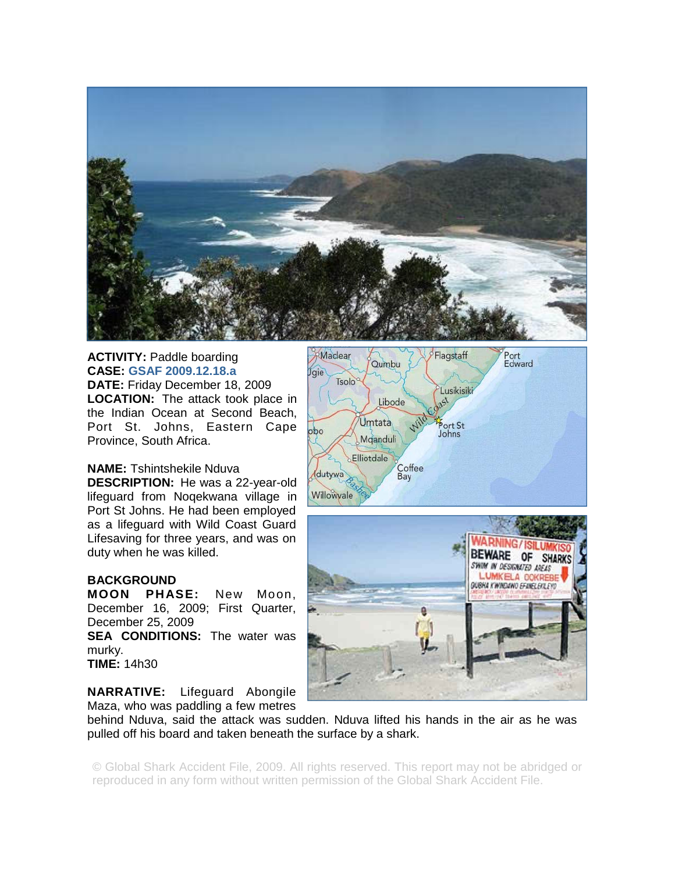

## **ACTIVITY: Paddle boarding CASE: GSAF 2009.12.18.a DATE:** Friday December 18, 2009 **LOCATION:** The attack took place in the Indian Ocean at Second Beach, Port St. Johns, Eastern Cape Province, South Africa.

## **NAME:** Tshintshekile Nduva

**DESCRIPTION:** He was a 22-year-old lifeguard from Noqekwana village in Port St Johns. He had been employed as a lifeguard with Wild Coast Guard Lifesaving for three years, and was on duty when he was killed.

## **BACKGROUND**

**MOON PHASE:** New Moon, December 16, 2009; First Quarter, December 25, 2009

**SEA CONDITIONS:** The water was murky.

```
TIME: 14h30
```
**NARRATIVE:** Lifeguard Abongile Maza, who was paddling a few metres





behind Nduva, said the attack was sudden. Nduva lifted his hands in the air as he was pulled off his board and taken beneath the surface by a shark.

© Global Shark Accident File, 2009. All rights reserved. This report may not be abridged or reproduced in any form without written permission of the Global Shark Accident File.